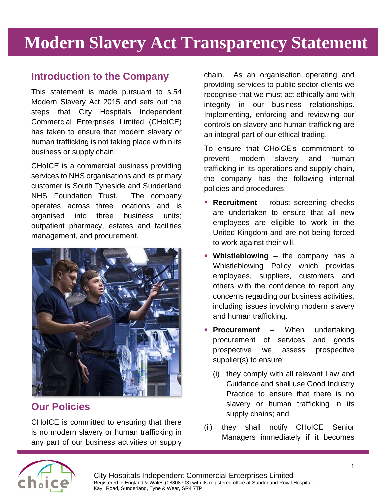# **Modern Slavery Act Transparency Statement**

### **Introduction to the Company**

This statement is made pursuant to s.54 Modern Slavery Act 2015 and sets out the steps that City Hospitals Independent Commercial Enterprises Limited (CHoICE) has taken to ensure that modern slavery or human trafficking is not taking place within its business or supply chain.

CHoICE is a commercial business providing services to NHS organisations and its primary customer is South Tyneside and Sunderland NHS Foundation Trust. The company operates across three locations and is organised into three business units; outpatient pharmacy, estates and facilities management, and procurement.



## **Our Policies**

CHoICE is committed to ensuring that there is no modern slavery or human trafficking in any part of our business activities or supply

chain. As an organisation operating and providing services to public sector clients we recognise that we must act ethically and with integrity in our business relationships. Implementing, enforcing and reviewing our controls on slavery and human trafficking are an integral part of our ethical trading.

To ensure that CHoICE's commitment to prevent modern slavery and human trafficking in its operations and supply chain, the company has the following internal policies and procedures;

- **Recruitment** robust screening checks are undertaken to ensure that all new employees are eligible to work in the United Kingdom and are not being forced to work against their will.
- **Whistleblowing** the company has a Whistleblowing Policy which provides employees, suppliers, customers and others with the confidence to report any concerns regarding our business activities, including issues involving modern slavery and human trafficking.
- **Procurement** When undertaking procurement of services and goods prospective we assess prospective supplier(s) to ensure:
	- (i) they comply with all relevant Law and Guidance and shall use Good Industry Practice to ensure that there is no slavery or human trafficking in its supply chains; and
- (ii) they shall notify CHoICE Senior Managers immediately if it becomes

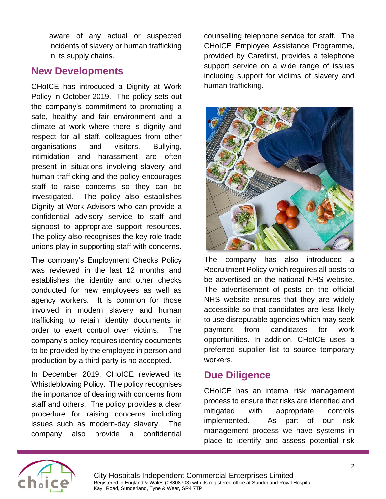aware of any actual or suspected incidents of slavery or human trafficking in its supply chains.

#### **New Developments**

CHoICE has introduced a Dignity at Work Policy in October 2019. The policy sets out the company's commitment to promoting a safe, healthy and fair environment and a climate at work where there is dignity and respect for all staff, colleagues from other organisations and visitors. Bullying, intimidation and harassment are often present in situations involving slavery and human trafficking and the policy encourages staff to raise concerns so they can be investigated. The policy also establishes Dignity at Work Advisors who can provide a confidential advisory service to staff and signpost to appropriate support resources. The policy also recognises the key role trade unions play in supporting staff with concerns.

The company's Employment Checks Policy was reviewed in the last 12 months and establishes the identity and other checks conducted for new employees as well as agency workers. It is common for those involved in modern slavery and human trafficking to retain identity documents in order to exert control over victims. The company's policy requires identity documents to be provided by the employee in person and production by a third party is no accepted.

In December 2019, CHoICE reviewed its Whistleblowing Policy. The policy recognises the importance of dealing with concerns from staff and others. The policy provides a clear procedure for raising concerns including issues such as modern-day slavery. The company also provide a confidential

counselling telephone service for staff. The CHoICE Employee Assistance Programme, provided by Carefirst, provides a telephone support service on a wide range of issues including support for victims of slavery and human trafficking.



The company has also introduced a Recruitment Policy which requires all posts to be advertised on the national NHS website. The advertisement of posts on the official NHS website ensures that they are widely accessible so that candidates are less likely to use disreputable agencies which may seek payment from candidates for work opportunities. In addition, CHoICE uses a preferred supplier list to source temporary workers.

#### **Due Diligence**

CHoICE has an internal risk management process to ensure that risks are identified and mitigated with appropriate controls implemented. As part of our risk management process we have systems in place to identify and assess potential risk